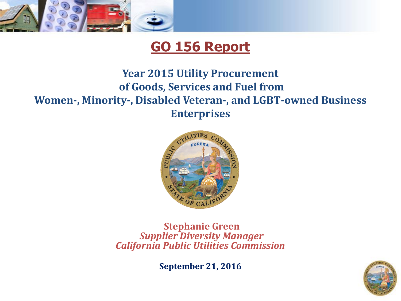

# **GO 156 Report**

#### **Year 2015 Utility Procurement of Goods, Services and Fuel from Women-, Minority-, Disabled Veteran-, and LGBT-owned Business Enterprises**



**Stephanie Green** *Supplier Diversity Manager California Public Utilities Commission*

**September 21, 2016**

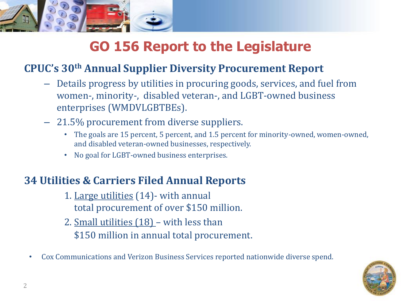

# **GO 156 Report to the Legislature**

#### **CPUC's 30th Annual Supplier Diversity Procurement Report**

- Details progress by utilities in procuring goods, services, and fuel from women-, minority-, disabled veteran-, and LGBT-owned business enterprises (WMDVLGBTBEs).
- 21.5% procurement from diverse suppliers.
	- The goals are 15 percent, 5 percent, and 1.5 percent for minority-owned, women-owned, and disabled veteran-owned businesses, respectively.
	- No goal for LGBT-owned business enterprises.

#### **34 Utilities & Carriers Filed Annual Reports**

- 1. Large utilities (14)- with annual total procurement of over \$150 million.
- 2. Small utilities (18) with less than \$150 million in annual total procurement.
- Cox Communications and Verizon Business Services reported nationwide diverse spend.

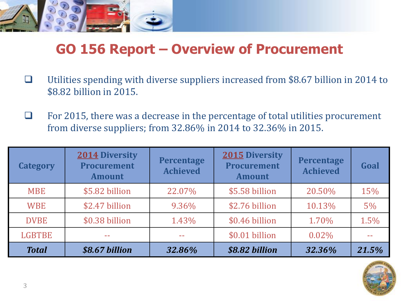

## **GO 156 Report – Overview of Procurement**

- Utilities spending with diverse suppliers increased from \$8.67 billion in 2014 to \$8.82 billion in 2015.
- $\Box$  For 2015, there was a decrease in the percentage of total utilities procurement from diverse suppliers; from 32.86% in 2014 to 32.36% in 2015.

| <b>Category</b> | <b>2014 Diversity</b><br><b>Procurement</b><br><b>Amount</b> | Percentage<br><b>Achieved</b> | <b>2015 Diversity</b><br><b>Procurement</b><br><b>Amount</b> | <b>Percentage</b><br><b>Achieved</b> | Goal  |
|-----------------|--------------------------------------------------------------|-------------------------------|--------------------------------------------------------------|--------------------------------------|-------|
| <b>MBE</b>      | \$5.82 billion                                               | 22.07%                        | \$5.58 billion                                               | 20.50%                               | 15%   |
| <b>WBE</b>      | \$2.47 billion                                               | 9.36%                         | \$2.76 billion                                               | 10.13%                               | 5%    |
| <b>DVBE</b>     | \$0.38 billion                                               | 1.43%                         | \$0.46 billion                                               | 1.70%                                | 1.5%  |
| <b>LGBTBE</b>   | --                                                           |                               | \$0.01 billion                                               | $0.02\%$                             |       |
| <b>Total</b>    | \$8.67 billion                                               | 32.86%                        | \$8.82 billion                                               | 32.36%                               | 21.5% |

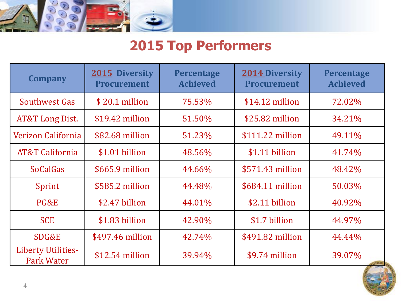

# **2015 Top Performers**

| <b>Company</b>                          | 2015 Diversity<br><b>Procurement</b> | <b>Percentage</b><br><b>Achieved</b> | <b>2014 Diversity</b><br><b>Procurement</b> | <b>Percentage</b><br><b>Achieved</b> |
|-----------------------------------------|--------------------------------------|--------------------------------------|---------------------------------------------|--------------------------------------|
| Southwest Gas                           | $$20.1$ million                      | 75.53%                               | $$14.12$ million                            | 72.02%                               |
| <b>AT&amp;T Long Dist.</b>              | $$19.42$ million                     | 51.50%                               | \$25.82 million                             | 34.21%                               |
| Verizon California                      | \$82.68 million                      | 51.23%                               | \$111.22 million                            | 49.11%                               |
| <b>AT&amp;T California</b>              | \$1.01 billion                       | 48.56%                               | \$1.11 billion                              | 41.74%                               |
| <b>SoCalGas</b>                         | \$665.9 million                      | 44.66%                               | \$571.43 million                            | 48.42%                               |
| Sprint                                  | \$585.2 million                      | 44.48%                               | \$684.11 million                            | 50.03%                               |
| PG&E                                    | \$2.47 billion                       | 44.01%                               | \$2.11 billion                              | 40.92%                               |
| <b>SCE</b>                              | \$1.83 billion                       | 42.90%                               | \$1.7 billion                               | 44.97%                               |
| SDG&E                                   | \$497.46 million                     | 42.74%                               | \$491.82 million                            | 44.44%                               |
| <b>Liberty Utilities-</b><br>Park Water | $$12.54$ million                     | 39.94%                               | \$9.74 million                              | 39.07%<br><b>ALITIES</b>             |

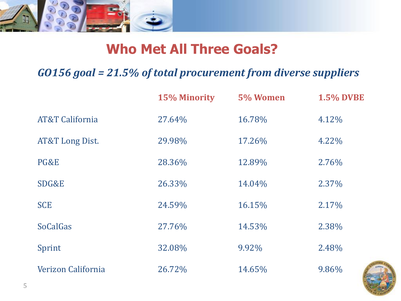

## **Who Met All Three Goals?**

#### *GO156 goal = 21.5% of total procurement from diverse suppliers*

|                            | <b>15% Minority</b> | 5% Women | <b>1.5% DVBE</b> |
|----------------------------|---------------------|----------|------------------|
| <b>AT&amp;T California</b> | 27.64%              | 16.78%   | 4.12%            |
| <b>AT&amp;T Long Dist.</b> | 29.98%              | 17.26%   | 4.22%            |
| PG&E                       | 28.36%              | 12.89%   | 2.76%            |
| SDG&E                      | 26.33%              | 14.04%   | 2.37%            |
| <b>SCE</b>                 | 24.59%              | 16.15%   | 2.17%            |
| <b>SoCalGas</b>            | 27.76%              | 14.53%   | 2.38%            |
| Sprint                     | 32.08%              | 9.92%    | 2.48%            |
| Verizon California         | 26.72%              | 14.65%   | 9.86%            |

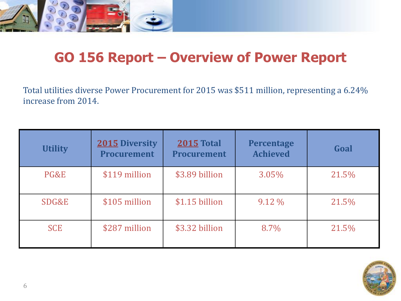

## **GO 156 Report – Overview of Power Report**

Total utilities diverse Power Procurement for 2015 was \$511 million, representing a 6.24% increase from 2014.

| <b>Utility</b> | <b>2015 Diversity</b><br><b>Procurement</b> | <b>2015 Total</b><br><b>Procurement</b> | <b>Percentage</b><br><b>Achieved</b> | Goal  |
|----------------|---------------------------------------------|-----------------------------------------|--------------------------------------|-------|
| PG&E           | \$119 million                               | \$3.89 billion                          | 3.05%                                | 21.5% |
| SDG&E          | \$105 million                               | \$1.15 billion                          | $9.12\%$                             | 21.5% |
| <b>SCE</b>     | \$287 million                               | \$3.32 billion                          | 8.7%                                 | 21.5% |

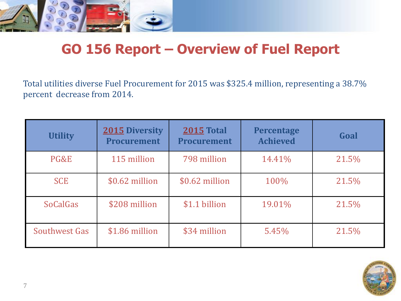

## **GO 156 Report – Overview of Fuel Report**

Total utilities diverse Fuel Procurement for 2015 was \$325.4 million, representing a 38.7% percent decrease from 2014.

| <b>Utility</b>  | <b>2015 Diversity</b><br><b>Procurement</b> | <b>2015 Total</b><br><b>Procurement</b> | <b>Percentage</b><br><b>Achieved</b> | Goal  |
|-----------------|---------------------------------------------|-----------------------------------------|--------------------------------------|-------|
| PG&E            | 115 million                                 | 798 million                             | 14.41%                               | 21.5% |
| <b>SCE</b>      | \$0.62 million                              | $$0.62$ million                         | 100%                                 | 21.5% |
| <b>SoCalGas</b> | \$208 million                               | \$1.1 billion                           | 19.01%                               | 21.5% |
| Southwest Gas   | \$1.86 million                              | \$34 million                            | 5.45%                                | 21.5% |

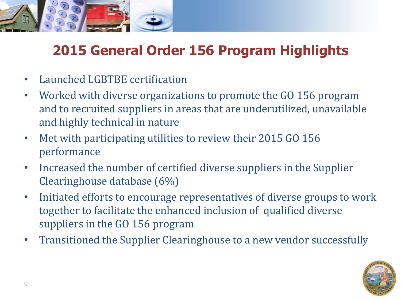

# **2015 General Order 156 Program Highlights**

- Launched LGBTBE certification
- Worked with diverse organizations to promote the GO 156 program and to recruited suppliers in areas that are underutilized, unavailable and highly technical in nature
- Met with participating utilities to review their 2015 GO 156 performance
- Increased the number of certified diverse suppliers in the Supplier Clearinghouse database (6%)
- Initiated efforts to encourage representatives of diverse groups to work together to facilitate the enhanced inclusion of qualified diverse suppliers in the GO 156 program
- Transitioned the Supplier Clearinghouse to a new vendor successfully

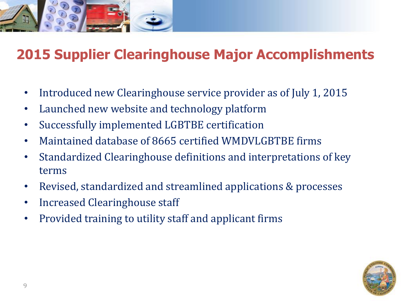

# **2015 Supplier Clearinghouse Major Accomplishments**

- Introduced new Clearinghouse service provider as of July 1, 2015
- Launched new website and technology platform
- Successfully implemented LGBTBE certification
- Maintained database of 8665 certified WMDVLGBTBE firms
- Standardized Clearinghouse definitions and interpretations of key terms
- Revised, standardized and streamlined applications & processes
- Increased Clearinghouse staff
- Provided training to utility staff and applicant firms

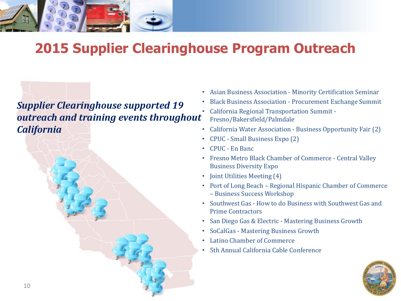

# **2015 Supplier Clearinghouse Program Outreach**

#### *Supplier Clearinghouse supported 19 outreach and training events throughout California*



- Asian Business Association Minority Certification Seminar
- Black Business Association Procurement Exchange Summit
- California Regional Transportation Summit Fresno/Bakersfield/Palmdale
- California Water Association Business Opportunity Fair (2)
- CPUC Small Business Expo (2)
- CPUC En Banc
- Fresno Metro Black Chamber of Commerce Central Valley Business Diversity Expo
- Joint Utilities Meeting (4)
- Port of Long Beach Regional Hispanic Chamber of Commerce – Business Success Workshop
- Southwest Gas How to do Business with Southwest Gas and Prime Contractors
- San Diego Gas & Electric Mastering Business Growth
- SoCalGas Mastering Business Growth
- Latino Chamber of Commerce
- 5th Annual California Cable Conference

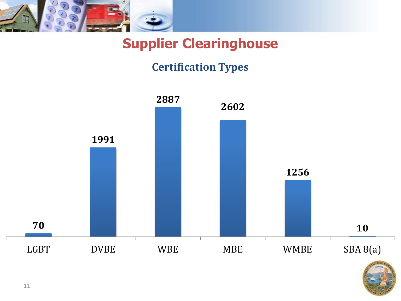

# **Supplier Clearinghouse**

### **Certification Types**



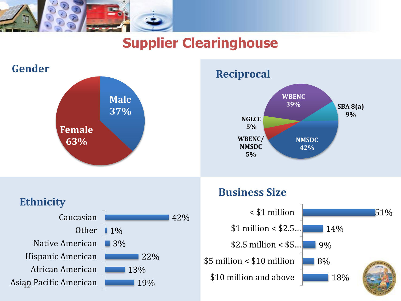

## **Supplier Clearinghouse**



| 42%   |
|-------|
| $1\%$ |
| 3%    |
| 22%   |
| 13%   |
| 19%   |
|       |

#### **Business Size**

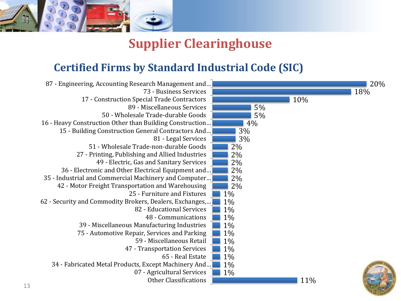

### **Supplier Clearinghouse**

#### **Certified Firms by Standard Industrial Code (SIC)**

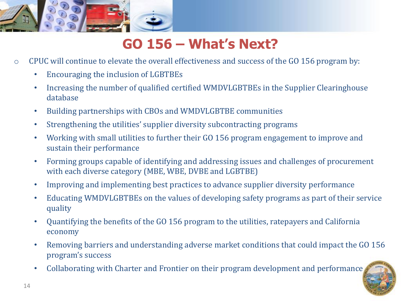

## **GO 156 – What's Next?**

- o CPUC will continue to elevate the overall effectiveness and success of the GO 156 program by:
	- Encouraging the inclusion of LGBTBEs
	- Increasing the number of qualified certified WMDVLGBTBEs in the Supplier Clearinghouse database
	- Building partnerships with CBOs and WMDVLGBTBE communities
	- Strengthening the utilities' supplier diversity subcontracting programs
	- Working with small utilities to further their GO 156 program engagement to improve and sustain their performance
	- Forming groups capable of identifying and addressing issues and challenges of procurement with each diverse category (MBE, WBE, DVBE and LGBTBE)
	- Improving and implementing best practices to advance supplier diversity performance
	- Educating WMDVLGBTBEs on the values of developing safety programs as part of their service quality
	- Quantifying the benefits of the GO 156 program to the utilities, ratepayers and California economy
	- Removing barriers and understanding adverse market conditions that could impact the GO 156 program's success
	- Collaborating with Charter and Frontier on their program development and performance